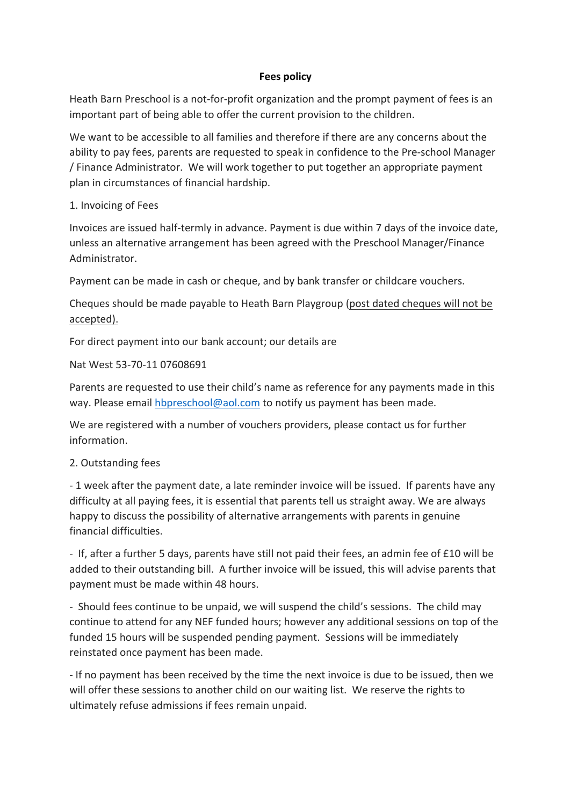### **Fees policy**

Heath Barn Preschool is a not-for-profit organization and the prompt payment of fees is an important part of being able to offer the current provision to the children.

We want to be accessible to all families and therefore if there are any concerns about the ability to pay fees, parents are requested to speak in confidence to the Pre-school Manager / Finance Administrator. We will work together to put together an appropriate payment plan in circumstances of financial hardship.

#### 1. Invoicing of Fees

Invoices are issued half-termly in advance. Payment is due within 7 days of the invoice date, unless an alternative arrangement has been agreed with the Preschool Manager/Finance Administrator.

Payment can be made in cash or cheque, and by bank transfer or childcare vouchers.

Cheques should be made payable to Heath Barn Playgroup (post dated cheques will not be accepted).

For direct payment into our bank account; our details are

#### Nat West 53-70-11 07608691

Parents are requested to use their child's name as reference for any payments made in this way. Please email hbpreschool@aol.com to notify us payment has been made.

We are registered with a number of vouchers providers, please contact us for further information. 

## 2. Outstanding fees

- 1 week after the payment date, a late reminder invoice will be issued. If parents have any difficulty at all paying fees, it is essential that parents tell us straight away. We are always happy to discuss the possibility of alternative arrangements with parents in genuine financial difficulties.

- If, after a further 5 days, parents have still not paid their fees, an admin fee of £10 will be added to their outstanding bill. A further invoice will be issued, this will advise parents that payment must be made within 48 hours.

- Should fees continue to be unpaid, we will suspend the child's sessions. The child may continue to attend for any NEF funded hours; however any additional sessions on top of the funded 15 hours will be suspended pending payment. Sessions will be immediately reinstated once payment has been made.

- If no payment has been received by the time the next invoice is due to be issued, then we will offer these sessions to another child on our waiting list. We reserve the rights to ultimately refuse admissions if fees remain unpaid.